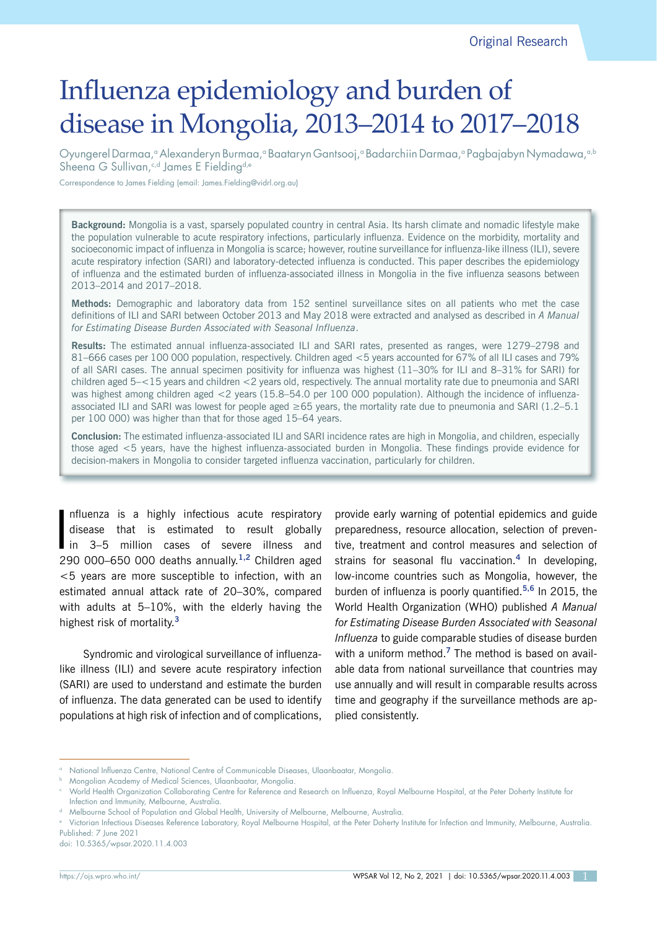Original Research

# Influenza epidemiology and burden of disease in Mongolia, 2013–2014 to 2017–2018

Oyungerel Darmaa,<sup>a</sup> Alexanderyn Burmaa,<sup>a</sup> Baataryn Gantsooj,<sup>a</sup> Badarchiin Darmaa,<sup>a</sup> Pagbajabyn Nymadawa,<sup>a,b</sup> Sheena G Sullivan,<sup>c,d</sup> James E Fielding<sup>d,e</sup>

Correspondence to James Fielding (email: James.Fielding@vidrl.org.au)

**Background:** Mongolia is a vast, sparsely populated country in central Asia. Its harsh climate and nomadic lifestyle make the population vulnerable to acute respiratory infections, particularly influenza. Evidence on the morbidity, mortality and socioeconomic impact of influenza in Mongolia is scarce; however, routine surveillance for influenza-like illness (ILI), severe acute respiratory infection (SARI) and laboratory-detected influenza is conducted. This paper describes the epidemiology of influenza and the estimated burden of influenza-associated illness in Mongolia in the five influenza seasons between 2013–2014 and 2017–2018.

**Methods:** Demographic and laboratory data from 152 sentinel surveillance sites on all patients who met the case definitions of ILI and SARI between October 2013 and May 2018 were extracted and analysed as described in *A Manual for Estimating Disease Burden Associated with Seasonal Influenza*.

**Results:** The estimated annual influenza-associated ILI and SARI rates, presented as ranges, were 1279–2798 and 81–666 cases per 100 000 population, respectively. Children aged <5 years accounted for 67% of all ILI cases and 79% of all SARI cases. The annual specimen positivity for influenza was highest (11–30% for ILI and 8–31% for SARI) for children aged 5–<15 years and children <2 years old, respectively. The annual mortality rate due to pneumonia and SARI was highest among children aged <2 years (15.8–54.0 per 100 000 population). Although the incidence of influenzaassociated ILI and SARI was lowest for people aged  $\geq 65$  years, the mortality rate due to pneumonia and SARI (1.2–5.1) per 100 000) was higher than that for those aged 15–64 years.

**Conclusion:** The estimated influenza-associated ILI and SARI incidence rates are high in Mongolia, and children, especially those aged <5 years, have the highest influenza-associated burden in Mongolia. These findings provide evidence for decision-makers in Mongolia to consider targeted influenza vaccination, particularly for children.

|<br>| nfluenza is a highly infectious acute respiratory disease that is estimated to result globally in 3–5 million cases of severe illness and 290 000–650 000 deaths annually.**1,2** Children aged <5 years are more susceptible to infection, with an estimated annual attack rate of 20–30%, compared with adults at 5–10%, with the elderly having the highest risk of mortality.**<sup>3</sup>**

Syndromic and virological surveillance of influenzalike illness (ILI) and severe acute respiratory infection (SARI) are used to understand and estimate the burden of influenza. The data generated can be used to identify populations at high risk of infection and of complications,

provide early warning of potential epidemics and guide preparedness, resource allocation, selection of preventive, treatment and control measures and selection of strains for seasonal flu vaccination.**<sup>4</sup>** In developing, low-income countries such as Mongolia, however, the burden of influenza is poorly quantified.**5,6** In 2015, the World Health Organization (WHO) published *A Manual for Estimating Disease Burden Associated with Seasonal Influenza* to guide comparable studies of disease burden with a uniform method.**<sup>7</sup>** The method is based on available data from national surveillance that countries may use annually and will result in comparable results across time and geography if the surveillance methods are applied consistently.

doi: 10.5365/wpsar.2020.11.4.003

<sup>&</sup>lt;sup>a</sup> National Influenza Centre, National Centre of Communicable Diseases, Ulaanbaatar, Mongolia.

**b** Mongolian Academy of Medical Sciences, Ulaanbaatar, Mongolia.

<sup>c</sup> World Health Organization Collaborating Centre for Reference and Research on Influenza, Royal Melbourne Hospital, at the Peter Doherty Institute for Infection and Immunity, Melbourne, Australia.

Melbourne School of Population and Global Health, University of Melbourne, Melbourne, Australia.

<sup>e</sup> Victorian Infectious Diseases Reference Laboratory, Royal Melbourne Hospital, at the Peter Doherty Institute for Infection and Immunity, Melbourne, Australia. Published: 7 June 2021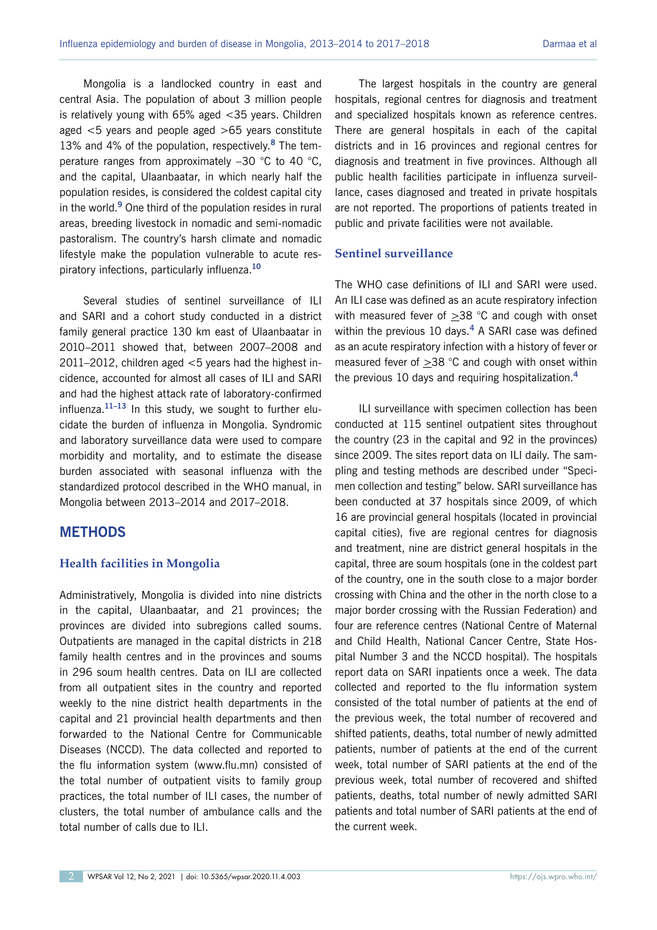Mongolia is a landlocked country in east and central Asia. The population of about 3 million people is relatively young with 65% aged <35 years. Children aged <5 years and people aged >65 years constitute 13% and 4% of the population, respectively.**<sup>8</sup>** The temperature ranges from approximately –30 °C to 40 °C, and the capital, Ulaanbaatar, in which nearly half the population resides, is considered the coldest capital city in the world.**<sup>9</sup>** One third of the population resides in rural areas, breeding livestock in nomadic and semi-nomadic pastoralism. The country's harsh climate and nomadic lifestyle make the population vulnerable to acute respiratory infections, particularly influenza.**<sup>10</sup>**

Several studies of sentinel surveillance of ILI and SARI and a cohort study conducted in a district family general practice 130 km east of Ulaanbaatar in 2010–2011 showed that, between 2007–2008 and 2011–2012, children aged  $<$  5 years had the highest incidence, accounted for almost all cases of ILI and SARI and had the highest attack rate of laboratory-confirmed influenza.**11–13** In this study, we sought to further elucidate the burden of influenza in Mongolia. Syndromic and laboratory surveillance data were used to compare morbidity and mortality, and to estimate the disease burden associated with seasonal influenza with the standardized protocol described in the WHO manual, in Mongolia between 2013–2014 and 2017–2018.

## **METHODS**

#### **Health facilities in Mongolia**

Administratively, Mongolia is divided into nine districts in the capital, Ulaanbaatar, and 21 provinces; the provinces are divided into subregions called soums. Outpatients are managed in the capital districts in 218 family health centres and in the provinces and soums in 296 soum health centres. Data on ILI are collected from all outpatient sites in the country and reported weekly to the nine district health departments in the capital and 21 provincial health departments and then forwarded to the National Centre for Communicable Diseases (NCCD). The data collected and reported to the flu information system [\(www.flu.mn](http://www.flu.mn)) consisted of the total number of outpatient visits to family group practices, the total number of ILI cases, the number of clusters, the total number of ambulance calls and the total number of calls due to ILI.

The largest hospitals in the country are general hospitals, regional centres for diagnosis and treatment and specialized hospitals known as reference centres. There are general hospitals in each of the capital districts and in 16 provinces and regional centres for diagnosis and treatment in five provinces. Although all public health facilities participate in influenza surveillance, cases diagnosed and treated in private hospitals are not reported. The proportions of patients treated in public and private facilities were not available.

#### **Sentinel surveillance**

The WHO case definitions of ILI and SARI were used. An ILI case was defined as an acute respiratory infection with measured fever of >38 °C and cough with onset within the previous 10 days.**<sup>4</sup>** A SARI case was defined as an acute respiratory infection with a history of fever or measured fever of >38 °C and cough with onset within the previous 10 days and requiring hospitalization.**<sup>4</sup>**

ILI surveillance with specimen collection has been conducted at 115 sentinel outpatient sites throughout the country (23 in the capital and 92 in the provinces) since 2009. The sites report data on ILI daily. The sampling and testing methods are described under "Specimen collection and testing" below. SARI surveillance has been conducted at 37 hospitals since 2009, of which 16 are provincial general hospitals (located in provincial capital cities), five are regional centres for diagnosis and treatment, nine are district general hospitals in the capital, three are soum hospitals (one in the coldest part of the country, one in the south close to a major border crossing with China and the other in the north close to a major border crossing with the Russian Federation) and four are reference centres (National Centre of Maternal and Child Health, National Cancer Centre, State Hospital Number 3 and the NCCD hospital). The hospitals report data on SARI inpatients once a week. The data collected and reported to the flu information system consisted of the total number of patients at the end of the previous week, the total number of recovered and shifted patients, deaths, total number of newly admitted patients, number of patients at the end of the current week, total number of SARI patients at the end of the previous week, total number of recovered and shifted patients, deaths, total number of newly admitted SARI patients and total number of SARI patients at the end of the current week.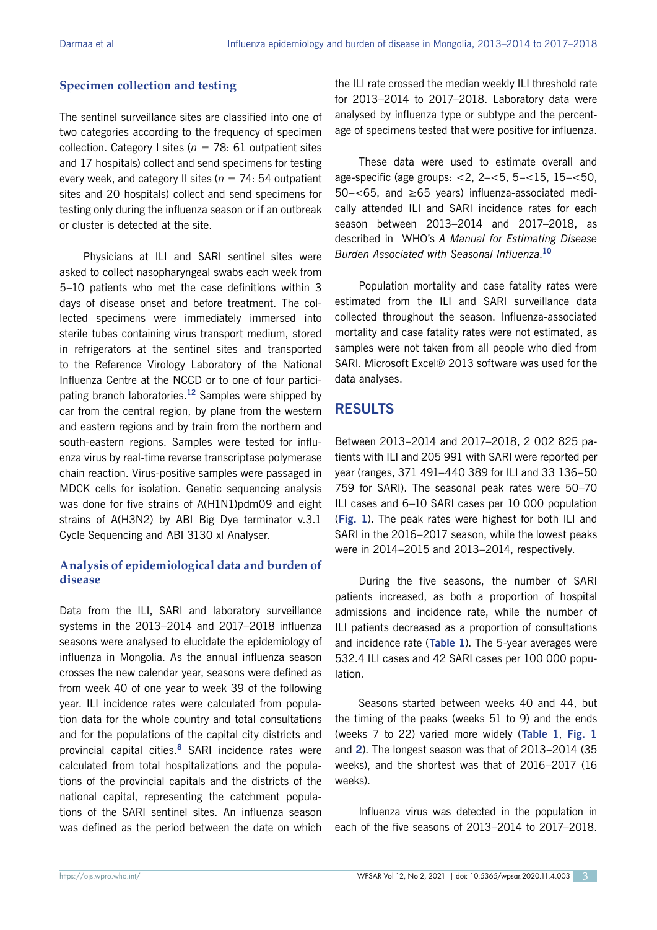## **Specimen collection and testing**

The sentinel surveillance sites are classified into one of two categories according to the frequency of specimen collection. Category I sites ( $n = 78: 61$  outpatient sites and 17 hospitals) collect and send specimens for testing every week, and category II sites ( $n = 74:54$  outpatient sites and 20 hospitals) collect and send specimens for testing only during the influenza season or if an outbreak or cluster is detected at the site.

Physicians at ILI and SARI sentinel sites were asked to collect nasopharyngeal swabs each week from 5–10 patients who met the case definitions within 3 days of disease onset and before treatment. The collected specimens were immediately immersed into sterile tubes containing virus transport medium, stored in refrigerators at the sentinel sites and transported to the Reference Virology Laboratory of the National Influenza Centre at the NCCD or to one of four participating branch laboratories.**<sup>12</sup>** Samples were shipped by car from the central region, by plane from the western and eastern regions and by train from the northern and south-eastern regions. Samples were tested for influenza virus by real-time reverse transcriptase polymerase chain reaction. Virus-positive samples were passaged in MDCK cells for isolation. Genetic sequencing analysis was done for five strains of A(H1N1)pdm09 and eight strains of A(H3N2) by ABI Big Dye terminator v.3.1 Cycle Sequencing and ABI 3130 xl Analyser.

## **Analysis of epidemiological data and burden of disease**

Data from the ILI, SARI and laboratory surveillance systems in the 2013–2014 and 2017–2018 influenza seasons were analysed to elucidate the epidemiology of influenza in Mongolia. As the annual influenza season crosses the new calendar year, seasons were defined as from week 40 of one year to week 39 of the following year. ILI incidence rates were calculated from population data for the whole country and total consultations and for the populations of the capital city districts and provincial capital cities.**<sup>8</sup>** SARI incidence rates were calculated from total hospitalizations and the populations of the provincial capitals and the districts of the national capital, representing the catchment populations of the SARI sentinel sites. An influenza season was defined as the period between the date on which the ILI rate crossed the median weekly ILI threshold rate for 2013–2014 to 2017–2018. Laboratory data were analysed by influenza type or subtype and the percentage of specimens tested that were positive for influenza.

These data were used to estimate overall and age-specific (age groups: <2, 2–<5, 5–<15, 15–<50, 50–<65, and ≥65 years) influenza-associated medically attended ILI and SARI incidence rates for each season between 2013–2014 and 2017–2018, as described in WHO's *A Manual for Estimating Disease Burden Associated with Seasonal Influenza*. **10**

Population mortality and case fatality rates were estimated from the ILI and SARI surveillance data collected throughout the season. Influenza-associated mortality and case fatality rates were not estimated, as samples were not taken from all people who died from SARI. Microsoft Excel® 2013 software was used for the data analyses.

## **RESULTS**

Between 2013–2014 and 2017–2018, 2 002 825 patients with ILI and 205 991 with SARI were reported per year (ranges, 371 491–440 389 for ILI and 33 136–50 759 for SARI). The seasonal peak rates were 50–70 ILI cases and 6–10 SARI cases per 10 000 population (**Fig. 1**). The peak rates were highest for both ILI and SARI in the 2016–2017 season, while the lowest peaks were in 2014–2015 and 2013–2014, respectively.

During the five seasons, the number of SARI patients increased, as both a proportion of hospital admissions and incidence rate, while the number of ILI patients decreased as a proportion of consultations and incidence rate (**Table 1**). The 5-year averages were 532.4 ILI cases and 42 SARI cases per 100 000 population.

Seasons started between weeks 40 and 44, but the timing of the peaks (weeks 51 to 9) and the ends (weeks 7 to 22) varied more widely (**Table 1**, **Fig. 1** and **2**). The longest season was that of 2013–2014 (35 weeks), and the shortest was that of 2016–2017 (16 weeks).

Influenza virus was detected in the population in each of the five seasons of 2013–2014 to 2017–2018.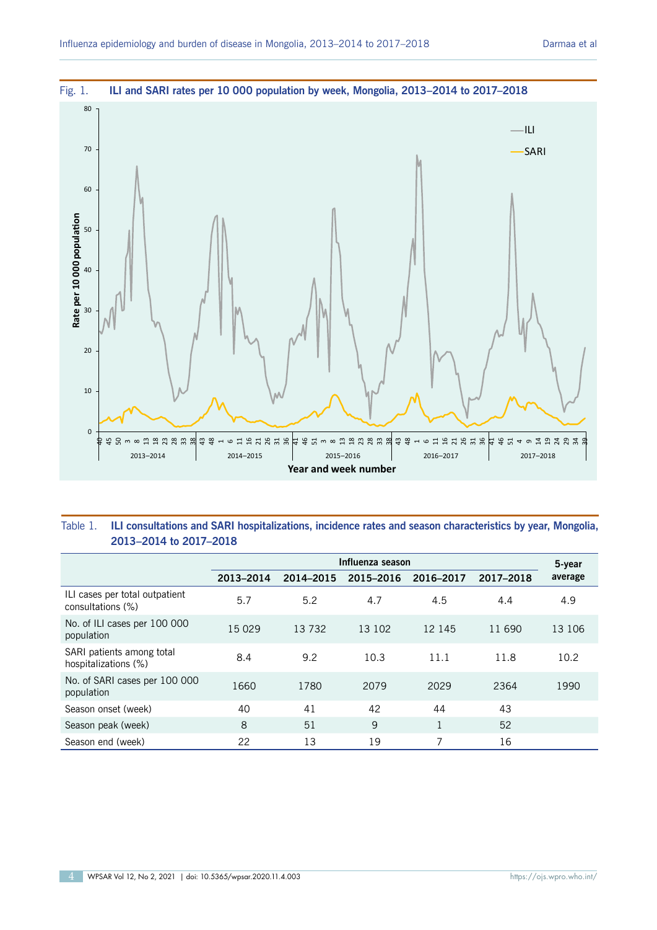

#### Table 1. **ILI consultations and SARI hospitalizations, incidence rates and season characteristics by year, Mongolia, 2013–2014 to 2017–2018**

|                                                     | Influenza season |           |           |              |           |         |  |
|-----------------------------------------------------|------------------|-----------|-----------|--------------|-----------|---------|--|
|                                                     | 2013-2014        | 2014-2015 | 2015-2016 | 2016-2017    | 2017-2018 | average |  |
| ILI cases per total outpatient<br>consultations (%) | 5.7              | 5.2       | 4.7       | 4.5          | 4.4       | 4.9     |  |
| No. of ILI cases per 100 000<br>population          | 15 0 29          | 13732     | 13 102    | 12 145       | 11 690    | 13 106  |  |
| SARI patients among total<br>hospitalizations (%)   | 8.4              | 9.2       | 10.3      | 11.1         | 11.8      | 10.2    |  |
| No. of SARI cases per 100 000<br>population         | 1660             | 1780      | 2079      | 2029         | 2364      | 1990    |  |
| Season onset (week)                                 | 40               | 41        | 42        | 44           | 43        |         |  |
| Season peak (week)                                  | 8                | 51        | 9         | $\mathbf{1}$ | 52        |         |  |
| Season end (week)                                   | 22               | 13        | 19        | 7            | 16        |         |  |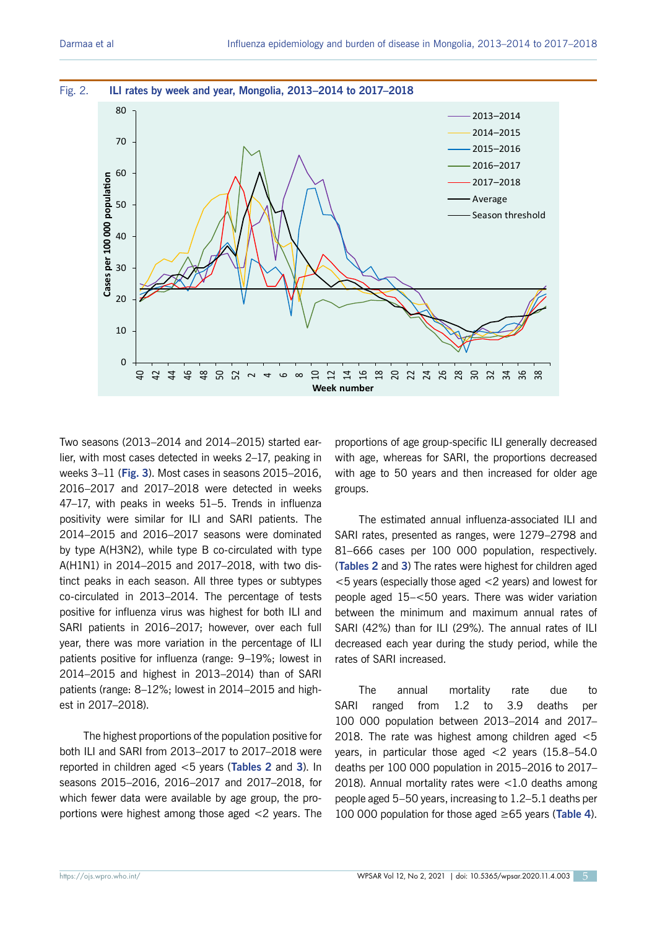

Two seasons (2013–2014 and 2014–2015) started earlier, with most cases detected in weeks 2–17, peaking in weeks 3–11 (**Fig. 3**). Most cases in seasons 2015–2016, 2016–2017 and 2017–2018 were detected in weeks 47–17, with peaks in weeks 51–5. Trends in influenza positivity were similar for ILI and SARI patients. The 2014–2015 and 2016–2017 seasons were dominated by type A(H3N2), while type B co-circulated with type A(H1N1) in 2014–2015 and 2017–2018, with two distinct peaks in each season. All three types or subtypes co-circulated in 2013–2014. The percentage of tests positive for influenza virus was highest for both ILI and SARI patients in 2016–2017; however, over each full year, there was more variation in the percentage of ILI patients positive for influenza (range: 9–19%; lowest in 2014–2015 and highest in 2013–2014) than of SARI patients (range: 8–12%; lowest in 2014–2015 and highest in 2017–2018).

The highest proportions of the population positive for both ILI and SARI from 2013–2017 to 2017–2018 were reported in children aged <5 years (**Tables 2** and **3**). In seasons 2015–2016, 2016–2017 and 2017–2018, for which fewer data were available by age group, the proportions were highest among those aged <2 years. The

proportions of age group-specific ILI generally decreased with age, whereas for SARI, the proportions decreased with age to 50 years and then increased for older age groups.

The estimated annual influenza-associated ILI and SARI rates, presented as ranges, were 1279–2798 and 81–666 cases per 100 000 population, respectively. (**Tables 2** and **3**) The rates were highest for children aged <5 years (especially those aged <2 years) and lowest for people aged 15–<50 years. There was wider variation between the minimum and maximum annual rates of SARI (42%) than for ILI (29%). The annual rates of ILI decreased each year during the study period, while the rates of SARI increased.

The annual mortality rate due to SARI ranged from 1.2 to 3.9 deaths per 100 000 population between 2013–2014 and 2017– 2018. The rate was highest among children aged <5 years, in particular those aged <2 years (15.8–54.0 deaths per 100 000 population in 2015–2016 to 2017– 2018). Annual mortality rates were <1.0 deaths among people aged 5–50 years, increasing to 1.2–5.1 deaths per 100 000 population for those aged ≥65 years (**Table 4**).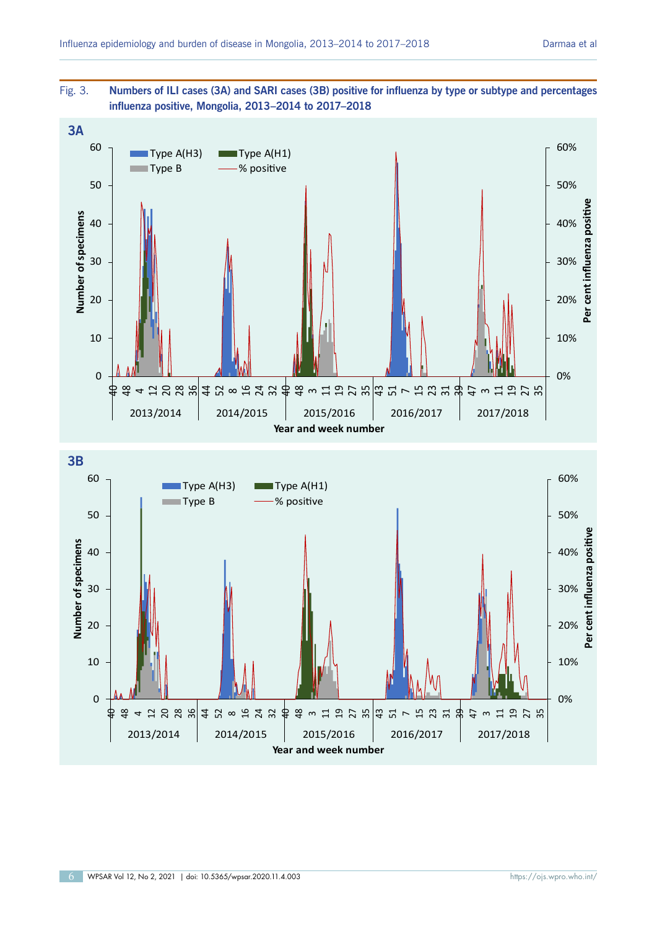

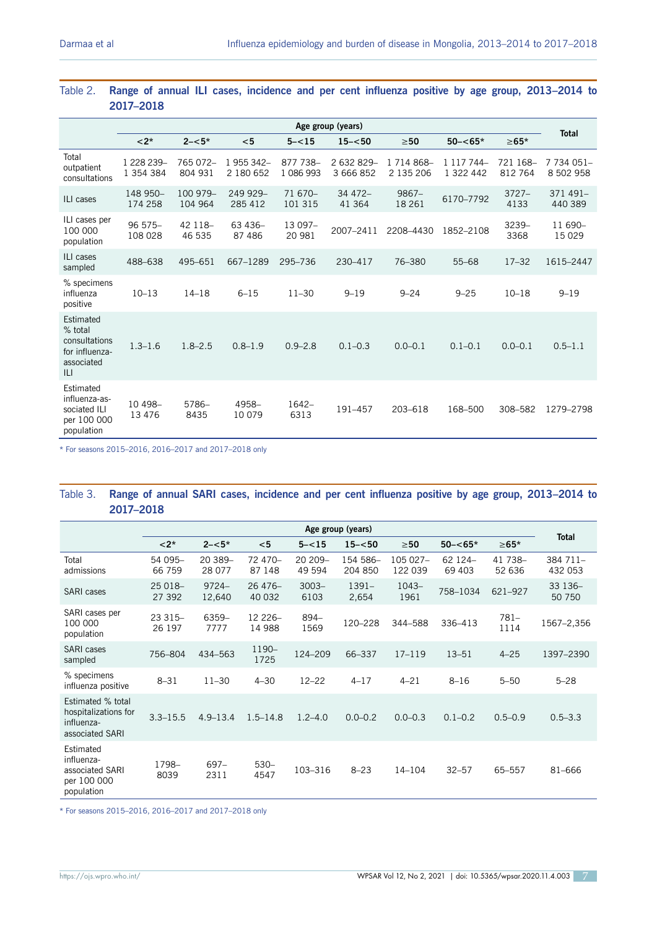|                                                                              | Age group (years)       |                     |                         |                       |                         |                             |                         |                     | <b>Total</b>            |
|------------------------------------------------------------------------------|-------------------------|---------------------|-------------------------|-----------------------|-------------------------|-----------------------------|-------------------------|---------------------|-------------------------|
|                                                                              | $< 2$ *                 | $2 - 5*$            | $<$ 5                   | $5 - < 15$            | $15 - 50$               | $\geq 50$                   | $50 - < 65*$            | $\geq 65*$          |                         |
| Total<br>outpatient<br>consultations                                         | 1 228 239-<br>1 354 384 | 765 072-<br>804 931 | 1 955 342-<br>2 180 652 | 877 738-<br>1 086 993 | 2 632 829-<br>3 666 852 | 1 7 14 8 6 8 -<br>2 135 206 | 1 117 744-<br>1 322 442 | 721 168-<br>812 764 | 7 734 051-<br>8 502 958 |
| ILI cases                                                                    | 148 950-<br>174 258     | 100 979-<br>104 964 | 249 929-<br>285 412     | 71 670-<br>101 315    | $34472-$<br>41 3 64     | $9867 -$<br>18 26 1         | 6170-7792               | $3727-$<br>4133     | $371491-$<br>440 389    |
| ILI cases per<br>100 000<br>population                                       | $96575 -$<br>108 028    | 42 118-<br>46 535   | 63 436-<br>87 486       | 13 097-<br>20 981     | 2007-2411               | 2208-4430                   | 1852-2108               | 3239-<br>3368       | $11690-$<br>15 0 29     |
| ILI cases<br>sampled                                                         | 488-638                 | 495-651             | 667-1289                | 295-736               | 230-417                 | 76-380                      | $55 - 68$               | $17 - 32$           | 1615-2447               |
| % specimens<br>influenza<br>positive                                         | $10 - 13$               | $14 - 18$           | $6 - 15$                | $11 - 30$             | $9 - 19$                | $9 - 24$                    | $9 - 25$                | $10 - 18$           | $9 - 19$                |
| Estimated<br>% total<br>consultations<br>for influenza-<br>associated<br>ILI | $1.3 - 1.6$             | $1.8 - 2.5$         | $0.8 - 1.9$             | $0.9 - 2.8$           | $0.1 - 0.3$             | $0.0 - 0.1$                 | $0.1 - 0.1$             | $0.0 - 0.1$         | $0.5 - 1.1$             |
| Estimated<br>influenza-as-<br>sociated ILI<br>per 100 000<br>population      | 10 498-<br>13 4 7 6     | 5786-<br>8435       | 4958-<br>10 079         | 1642-<br>6313         | 191-457                 | 203-618                     | 168-500                 | 308-582             | 1279-2798               |

#### Table 2. **Range of annual ILI cases, incidence and per cent influenza positive by age group, 2013–2014 to 2017–2018**

\* For seasons 2015–2016, 2016–2017 and 2017–2018 only

#### Table 3. **Range of annual SARI cases, incidence and per cent influenza positive by age group, 2013–2014 to 2017–2018**

|                                                                            | Age group (years) |                    |                     |                   |                     |                     |                   |                   |                     |
|----------------------------------------------------------------------------|-------------------|--------------------|---------------------|-------------------|---------------------|---------------------|-------------------|-------------------|---------------------|
|                                                                            | $<$ 2*            | $2 - 5*$           | $<$ 5               | $5 - < 15$        | $15 - 50$           | $\geq 50$           | $50 - < 65*$      | $\geq 65*$        | <b>Total</b>        |
| Total<br>admissions                                                        | 54 095-<br>66 759 | 20 389-<br>28 077  | 72 470-<br>87 148   | 20 209-<br>49 594 | 154 586-<br>204 850 | 105 027-<br>122 039 | 62 124-<br>69 403 | 41 738-<br>52 636 | 384 711-<br>432 053 |
| <b>SARI</b> cases                                                          | 25 018-<br>27 392 | $9724 -$<br>12,640 | 26 476-<br>40 032   | $3003 -$<br>6103  | $1391 -$<br>2,654   | $1043-$<br>1961     | 758-1034          | 621-927           | 33 136-<br>50 750   |
| SARI cases per<br>100 000<br>population                                    | 23 315-<br>26 197 | 6359-<br>7777      | 12 2 26 -<br>14 988 | 894-<br>1569      | 120-228             | 344-588             | 336-413           | $781 -$<br>1114   | 1567-2,356          |
| <b>SARI</b> cases<br>sampled                                               | 756-804           | 434-563            | 1190-<br>1725       | 124-209           | 66-337              | $17 - 119$          | $13 - 51$         | $4 - 25$          | 1397-2390           |
| % specimens<br>influenza positive                                          | $8 - 31$          | $11 - 30$          | $4 - 30$            | $12 - 22$         | $4 - 17$            | $4 - 21$            | $8 - 16$          | $5 - 50$          | $5 - 28$            |
| Estimated % total<br>hospitalizations for<br>influenza-<br>associated SARI | $3.3 - 15.5$      | $4.9 - 13.4$       | $1.5 - 14.8$        | $1.2 - 4.0$       | $0.0 - 0.2$         | $0.0 - 0.3$         | $0.1 - 0.2$       | $0.5 - 0.9$       | $0.5 - 3.3$         |
| Estimated<br>influenza-<br>associated SARI<br>per 100 000<br>population    | 1798-<br>8039     | $697 -$<br>2311    | $530 -$<br>4547     | 103-316           | $8 - 23$            | $14 - 104$          | $32 - 57$         | 65-557            | 81-666              |

\* For seasons 2015–2016, 2016–2017 and 2017–2018 only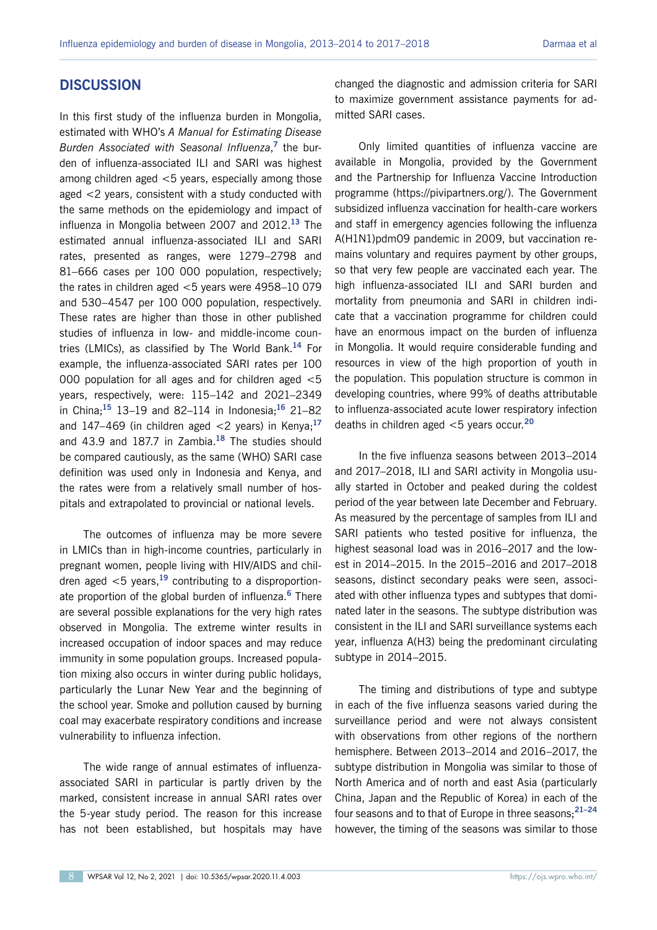#### **DISCUSSION**

In this first study of the influenza burden in Mongolia, estimated with WHO's *A Manual for Estimating Disease Burden Associated with Seasonal Influenza*, **<sup>7</sup>** the burden of influenza-associated ILI and SARI was highest among children aged <5 years, especially among those aged <2 years, consistent with a study conducted with the same methods on the epidemiology and impact of influenza in Mongolia between 2007 and 2012.**<sup>13</sup>** The estimated annual influenza-associated ILI and SARI rates, presented as ranges, were 1279–2798 and 81–666 cases per 100 000 population, respectively; the rates in children aged <5 years were 4958–10 079 and 530–4547 per 100 000 population, respectively. These rates are higher than those in other published studies of influenza in low- and middle-income countries (LMICs), as classified by The World Bank.**<sup>14</sup>** For example, the influenza-associated SARI rates per 100 000 population for all ages and for children aged <5 years, respectively, were: 115–142 and 2021–2349 in China;**<sup>15</sup>** 13–19 and 82–114 in Indonesia;**<sup>16</sup>** 21–82 and 147–469 (in children aged <2 years) in Kenya;**<sup>17</sup>** and 43.9 and 187.7 in Zambia.**<sup>18</sup>** The studies should be compared cautiously, as the same (WHO) SARI case definition was used only in Indonesia and Kenya, and the rates were from a relatively small number of hospitals and extrapolated to provincial or national levels.

The outcomes of influenza may be more severe in LMICs than in high-income countries, particularly in pregnant women, people living with HIV/AIDS and children aged  $\leq$ 5 years,<sup>19</sup> contributing to a disproportionate proportion of the global burden of influenza.**<sup>6</sup>** There are several possible explanations for the very high rates observed in Mongolia. The extreme winter results in increased occupation of indoor spaces and may reduce immunity in some population groups. Increased population mixing also occurs in winter during public holidays, particularly the Lunar New Year and the beginning of the school year. Smoke and pollution caused by burning coal may exacerbate respiratory conditions and increase vulnerability to influenza infection.

The wide range of annual estimates of influenzaassociated SARI in particular is partly driven by the marked, consistent increase in annual SARI rates over the 5-year study period. The reason for this increase has not been established, but hospitals may have changed the diagnostic and admission criteria for SARI to maximize government assistance payments for admitted SARI cases.

Only limited quantities of influenza vaccine are available in Mongolia, provided by the Government and the Partnership for Influenza Vaccine Introduction programme (https://pivipartners.org/). The Government subsidized influenza vaccination for health-care workers and staff in emergency agencies following the influenza A(H1N1)pdm09 pandemic in 2009, but vaccination remains voluntary and requires payment by other groups, so that very few people are vaccinated each year. The high influenza-associated ILI and SARI burden and mortality from pneumonia and SARI in children indicate that a vaccination programme for children could have an enormous impact on the burden of influenza in Mongolia. It would require considerable funding and resources in view of the high proportion of youth in the population. This population structure is common in developing countries, where 99% of deaths attributable to influenza-associated acute lower respiratory infection deaths in children aged <5 years occur.**<sup>20</sup>**

In the five influenza seasons between 2013–2014 and 2017–2018, ILI and SARI activity in Mongolia usually started in October and peaked during the coldest period of the year between late December and February. As measured by the percentage of samples from ILI and SARI patients who tested positive for influenza, the highest seasonal load was in 2016–2017 and the lowest in 2014–2015. In the 2015–2016 and 2017–2018 seasons, distinct secondary peaks were seen, associated with other influenza types and subtypes that dominated later in the seasons. The subtype distribution was consistent in the ILI and SARI surveillance systems each year, influenza A(H3) being the predominant circulating subtype in 2014–2015.

The timing and distributions of type and subtype in each of the five influenza seasons varied during the surveillance period and were not always consistent with observations from other regions of the northern hemisphere. Between 2013–2014 and 2016–2017, the subtype distribution in Mongolia was similar to those of North America and of north and east Asia (particularly China, Japan and the Republic of Korea) in each of the four seasons and to that of Europe in three seasons;**21–24** however, the timing of the seasons was similar to those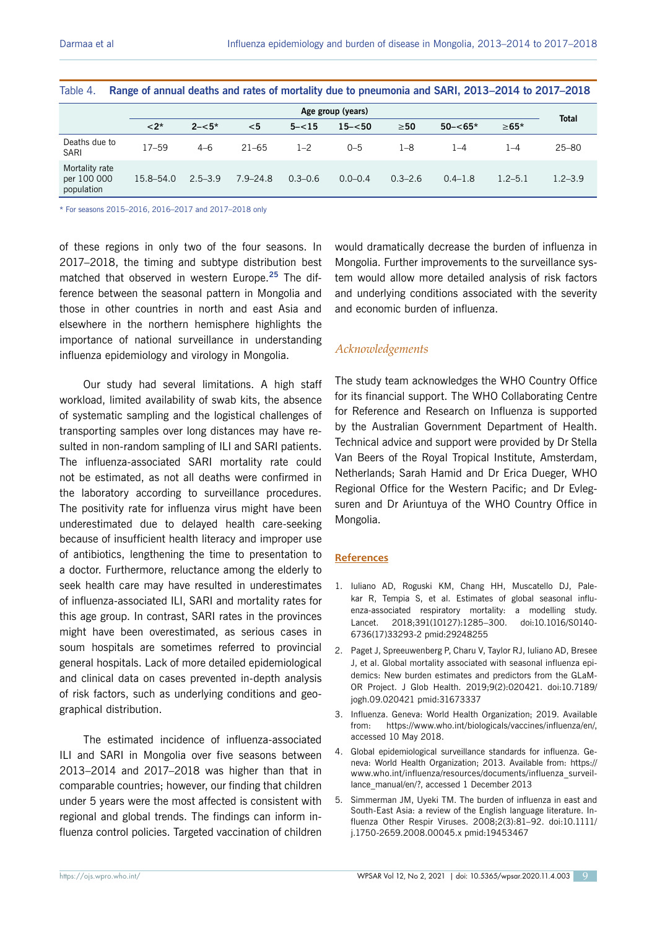| $1900 - 1$                                  |                   |             |              |             |             |             |              |             |              |
|---------------------------------------------|-------------------|-------------|--------------|-------------|-------------|-------------|--------------|-------------|--------------|
|                                             | Age group (years) |             |              |             |             |             |              |             |              |
|                                             | $< 2$ *           | $2 - 5*$    | $<$ 5        | $5 - < 15$  | $15 - 50$   | $\geq 50$   | $50 - < 65*$ | $\ge 65*$   | <b>Total</b> |
| Deaths due to<br><b>SARI</b>                | $17 - 59$         | $4 - 6$     | $21 - 65$    | $1 - 2$     | $0 - 5$     | $1 - 8$     | $1 - 4$      | 1–4         | $25 - 80$    |
| Mortality rate<br>per 100 000<br>population | 15.8–54.0         | $2.5 - 3.9$ | $7.9 - 24.8$ | $0.3 - 0.6$ | $0.0 - 0.4$ | $0.3 - 2.6$ | $0.4 - 1.8$  | $1.2 - 5.1$ | $1.2 - 3.9$  |

Table 4. **Range of annual deaths and rates of mortality due to pneumonia and SARI, 2013–2014 to 2017–2018**

\* For seasons 2015–2016, 2016–2017 and 2017–2018 only

of these regions in only two of the four seasons. In 2017–2018, the timing and subtype distribution best matched that observed in western Europe.**<sup>25</sup>** The difference between the seasonal pattern in Mongolia and those in other countries in north and east Asia and elsewhere in the northern hemisphere highlights the importance of national surveillance in understanding influenza epidemiology and virology in Mongolia.

Our study had several limitations. A high staff workload, limited availability of swab kits, the absence of systematic sampling and the logistical challenges of transporting samples over long distances may have resulted in non-random sampling of ILI and SARI patients. The influenza-associated SARI mortality rate could not be estimated, as not all deaths were confirmed in the laboratory according to surveillance procedures. The positivity rate for influenza virus might have been underestimated due to delayed health care-seeking because of insufficient health literacy and improper use of antibiotics, lengthening the time to presentation to a doctor. Furthermore, reluctance among the elderly to seek health care may have resulted in underestimates of influenza-associated ILI, SARI and mortality rates for this age group. In contrast, SARI rates in the provinces might have been overestimated, as serious cases in soum hospitals are sometimes referred to provincial general hospitals. Lack of more detailed epidemiological and clinical data on cases prevented in-depth analysis of risk factors, such as underlying conditions and geographical distribution.

The estimated incidence of influenza-associated ILI and SARI in Mongolia over five seasons between 2013–2014 and 2017–2018 was higher than that in comparable countries; however, our finding that children under 5 years were the most affected is consistent with regional and global trends. The findings can inform influenza control policies. Targeted vaccination of children would dramatically decrease the burden of influenza in Mongolia. Further improvements to the surveillance system would allow more detailed analysis of risk factors and underlying conditions associated with the severity and economic burden of influenza.

#### *Acknowledgements*

The study team acknowledges the WHO Country Office for its financial support. The WHO Collaborating Centre for Reference and Research on Influenza is supported by the Australian Government Department of Health. Technical advice and support were provided by Dr Stella Van Beers of the Royal Tropical Institute, Amsterdam, Netherlands; Sarah Hamid and Dr Erica Dueger, WHO Regional Office for the Western Pacific; and Dr Evlegsuren and Dr Ariuntuya of the WHO Country Office in Mongolia.

#### **References**

- 1. Iuliano AD, Roguski KM, Chang HH, Muscatello DJ, Palekar R, Tempia S, et al. Estimates of global seasonal influenza-associated respiratory mortality: a modelling study. Lancet. 2018;391(10127):1285–300. doi:10.1016/S0140- 6736(17)33293-2 pmid:29248255
- 2. Paget J, Spreeuwenberg P, Charu V, Taylor RJ, Iuliano AD, Bresee J, et al. Global mortality associated with seasonal influenza epidemics: New burden estimates and predictors from the GLaM-OR Project. J Glob Health. 2019;9(2):020421. doi:10.7189/ jogh.09.020421 pmid:31673337
- 3. Influenza. Geneva: World Health Organization; 2019. Available from: https://www.who.int/biologicals/vaccines/influenza/en/, accessed 10 May 2018.
- 4. Global epidemiological surveillance standards for influenza. Geneva: World Health Organization; 2013. Available from: https:// www.who.int/influenza/resources/documents/influenza\_surveillance\_manual/en/?, accessed 1 December 2013
- 5. Simmerman JM, Uyeki TM. The burden of influenza in east and South-East Asia: a review of the English language literature. Influenza Other Respir Viruses. 2008;2(3):81–92. doi:10.1111/ j.1750-2659.2008.00045.x pmid:19453467